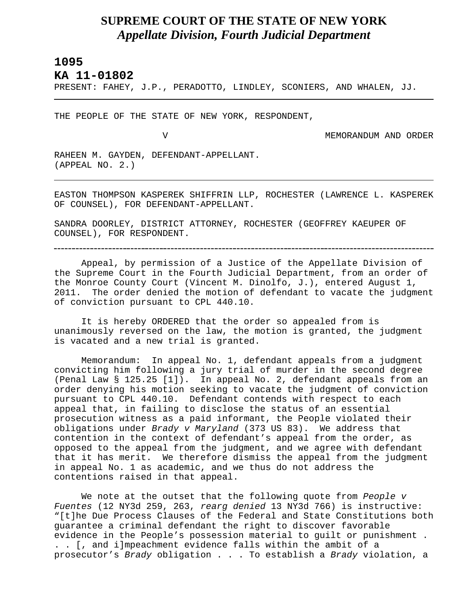## **SUPREME COURT OF THE STATE OF NEW YORK** *Appellate Division, Fourth Judicial Department*

## **1095**

L

**KA 11-01802** 

PRESENT: FAHEY, J.P., PERADOTTO, LINDLEY, SCONIERS, AND WHALEN, JJ.

THE PEOPLE OF THE STATE OF NEW YORK, RESPONDENT,

V MEMORANDUM AND ORDER

RAHEEN M. GAYDEN, DEFENDANT-APPELLANT. (APPEAL NO. 2.)

EASTON THOMPSON KASPEREK SHIFFRIN LLP, ROCHESTER (LAWRENCE L. KASPEREK OF COUNSEL), FOR DEFENDANT-APPELLANT.

SANDRA DOORLEY, DISTRICT ATTORNEY, ROCHESTER (GEOFFREY KAEUPER OF COUNSEL), FOR RESPONDENT.

Appeal, by permission of a Justice of the Appellate Division of the Supreme Court in the Fourth Judicial Department, from an order of the Monroe County Court (Vincent M. Dinolfo, J.), entered August 1, 2011. The order denied the motion of defendant to vacate the judgment of conviction pursuant to CPL 440.10.

It is hereby ORDERED that the order so appealed from is unanimously reversed on the law, the motion is granted, the judgment is vacated and a new trial is granted.

Memorandum: In appeal No. 1, defendant appeals from a judgment convicting him following a jury trial of murder in the second degree (Penal Law § 125.25 [1]). In appeal No. 2, defendant appeals from an order denying his motion seeking to vacate the judgment of conviction pursuant to CPL 440.10. Defendant contends with respect to each appeal that, in failing to disclose the status of an essential prosecution witness as a paid informant, the People violated their obligations under *Brady v Maryland* (373 US 83). We address that contention in the context of defendant's appeal from the order, as opposed to the appeal from the judgment, and we agree with defendant that it has merit. We therefore dismiss the appeal from the judgment in appeal No. 1 as academic, and we thus do not address the contentions raised in that appeal.

We note at the outset that the following quote from *People v Fuentes* (12 NY3d 259, 263, *rearg denied* 13 NY3d 766) is instructive: "[t]he Due Process Clauses of the Federal and State Constitutions both guarantee a criminal defendant the right to discover favorable evidence in the People's possession material to guilt or punishment . . . [, and i]mpeachment evidence falls within the ambit of a prosecutor's *Brady* obligation . . . To establish a *Brady* violation, a